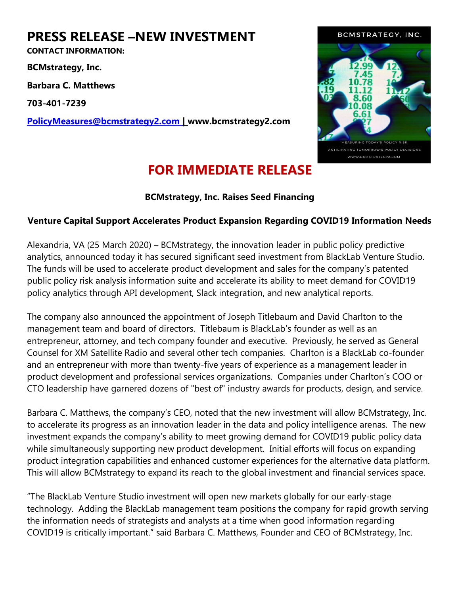## PRESS RELEASE –NEW INVESTMENT

CONTACT INFORMATION:

BCMstrategy, Inc.

Barbara C. Matthews

703-401-7239

PolicyMeasures@bcmstrategy2.com | www.bcmstrategy2.com



## FOR IMMEDIATE RELEASE

## BCMstrategy, Inc. Raises Seed Financing

## Venture Capital Support Accelerates Product Expansion Regarding COVID19 Information Needs

Alexandria, VA (25 March 2020) – BCMstrategy, the innovation leader in public policy predictive analytics, announced today it has secured significant seed investment from BlackLab Venture Studio. The funds will be used to accelerate product development and sales for the company's patented public policy risk analysis information suite and accelerate its ability to meet demand for COVID19 policy analytics through API development, Slack integration, and new analytical reports.

The company also announced the appointment of Joseph Titlebaum and David Charlton to the management team and board of directors. Titlebaum is BlackLab's founder as well as an entrepreneur, attorney, and tech company founder and executive. Previously, he served as General Counsel for XM Satellite Radio and several other tech companies. Charlton is a BlackLab co-founder and an entrepreneur with more than twenty-five years of experience as a management leader in product development and professional services organizations. Companies under Charlton's COO or CTO leadership have garnered dozens of "best of" industry awards for products, design, and service.

Barbara C. Matthews, the company's CEO, noted that the new investment will allow BCMstrategy, Inc. to accelerate its progress as an innovation leader in the data and policy intelligence arenas. The new investment expands the company's ability to meet growing demand for COVID19 public policy data while simultaneously supporting new product development. Initial efforts will focus on expanding product integration capabilities and enhanced customer experiences for the alternative data platform. This will allow BCMstrategy to expand its reach to the global investment and financial services space.

"The BlackLab Venture Studio investment will open new markets globally for our early-stage technology. Adding the BlackLab management team positions the company for rapid growth serving the information needs of strategists and analysts at a time when good information regarding COVID19 is critically important." said Barbara C. Matthews, Founder and CEO of BCMstrategy, Inc.